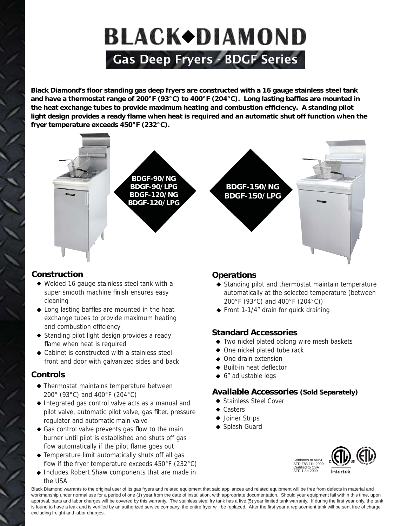# **BLACK+DIAMOND** Gas Deep Fryers - BDGF Series

Black Diamond's floor standing gas deep fryers are constructed with a 16 gauge stainless steel tank and have a thermostat range of 200°F (93°C) to 400°F (204°C). Long lasting baffles are mounted in the heat exchange tubes to provide maximum heating and combustion efficiency. A standing pilot light design provides a ready flame when heat is required and an automatic shut off function when the **fryer temperature exceeds 450°F (232°C).** 



#### **Construction onstruction**

- Welded 16 gauge stainless steel tank with a super smooth machine finish ensures easy cleaning
- $\triangle$  Long lasting baffles are mounted in the heat exchange tubes to provide maximum heating and combustion efficiency
- Standing pilot light design provides a ready flame when heat is required
- Cabinet is constructed with a stainless steel front and door with galvanized sides and back

#### **Controls ontrols**

- Thermostat maintains temperature between 200° (93°C) and 400°F (204°C)
- Integrated gas control valve acts as a manual and pilot valve, automatic pilot valve, gas filter, pressure regulator and automatic main valve
- $\triangle$  Gas control valve prevents gas flow to the main burner until pilot is established and shuts off gas flow automatically if the pilot flame goes out
- Temperature limit automatically shuts off all gas flow if the fryer temperature exceeds  $450^{\circ}$ F (232 $^{\circ}$ C)
- Includes Robert Shaw components that are made in the USA

#### **Operations perations**

- Standing pilot and thermostat maintain temperature automatically at the selected temperature (between 200°F (93°C) and 400°F (204°C))
- Front 1-1/4" drain for quick draining

#### **Standard Accessories tandard**

- Two nickel plated oblong wire mesh baskets
- One nickel plated tube rack
- One drain extension
- $\triangleq$  Built-in heat deflector
- ◆ 6" adjustable legs

#### **Available Accessories (Sold Separately)**

- Stainless Steel Cover
- ◆ Casters
- Joiner Strips
- Splash Guard



Black Diamond warrants to the original user of its gas fryers and related equipment that said appliances and related equipment will be free from defects in material and workmanship under normal use for a period of one (1) year from the date of installation, with appropriate documentation. Should your equipment fail within this time, upon approval, parts and labor charges will be covered by this warranty. The stainless steel fry tank has a five (5) year limited tank warranty. If during the first year only, the tank is found to have a leak and is verified by an authorized service company, the entire fryer will be replaced. After the first year a replacement tank will be sent free of charge excluding freight and labor charges.